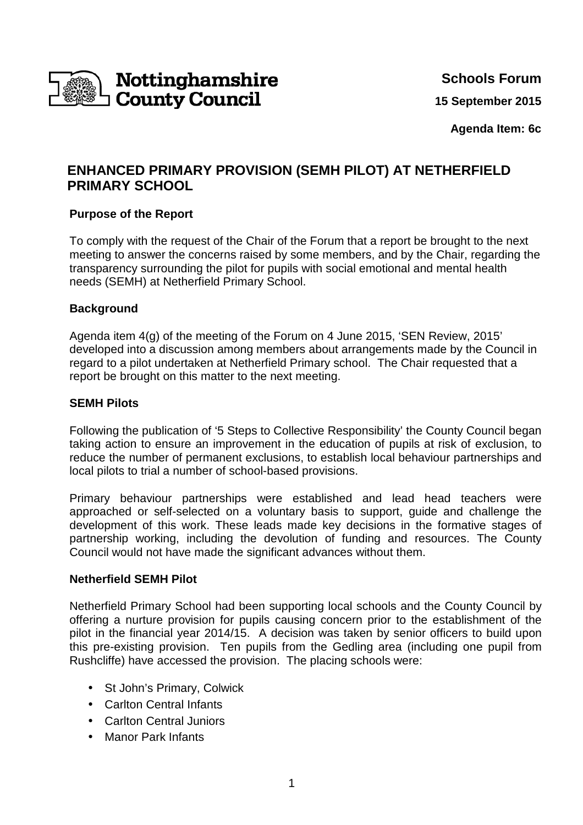

**Schools Forum**

**15 September 2015**

**Agenda Item: 6c**

# **ENHANCED PRIMARY PROVISION (SEMH PILOT) AT NETHERFIELD PRIMARY SCHOOL**

## **Purpose of the Report**

To comply with the request of the Chair of the Forum that a report be brought to the next meeting to answer the concerns raised by some members, and by the Chair, regarding the transparency surrounding the pilot for pupils with social emotional and mental health needs (SEMH) at Netherfield Primary School.

#### **Background**

Agenda item 4(g) of the meeting of the Forum on 4 June 2015, 'SEN Review, 2015' developed into a discussion among members about arrangements made by the Council in regard to a pilot undertaken at Netherfield Primary school. The Chair requested that a report be brought on this matter to the next meeting.

#### **SEMH Pilots**

Following the publication of '5 Steps to Collective Responsibility' the County Council began taking action to ensure an improvement in the education of pupils at risk of exclusion, to reduce the number of permanent exclusions, to establish local behaviour partnerships and local pilots to trial a number of school-based provisions.

Primary behaviour partnerships were established and lead head teachers were approached or self-selected on a voluntary basis to support, guide and challenge the development of this work. These leads made key decisions in the formative stages of partnership working, including the devolution of funding and resources. The County Council would not have made the significant advances without them.

#### **Netherfield SEMH Pilot**

Netherfield Primary School had been supporting local schools and the County Council by offering a nurture provision for pupils causing concern prior to the establishment of the pilot in the financial year 2014/15. A decision was taken by senior officers to build upon this pre-existing provision. Ten pupils from the Gedling area (including one pupil from Rushcliffe) have accessed the provision. The placing schools were:

- St John's Primary, Colwick
- Carlton Central Infants
- Carlton Central Juniors
- Manor Park Infants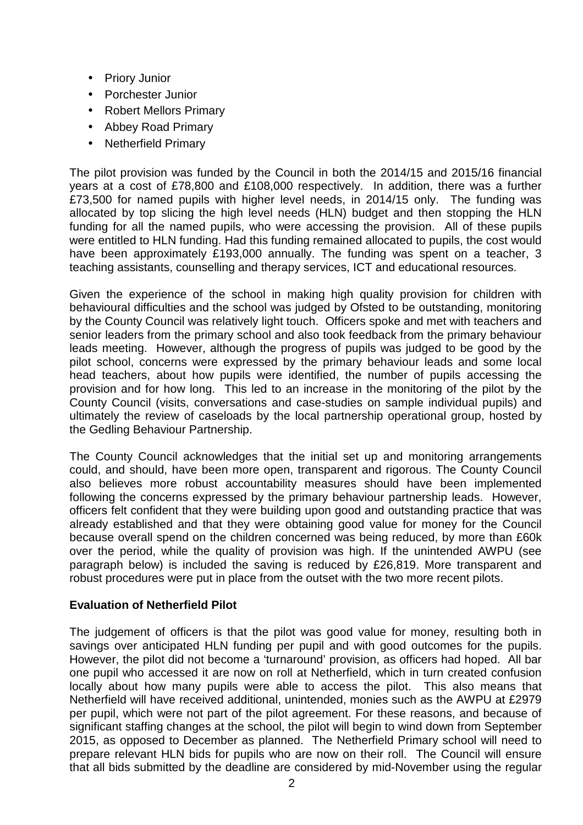- Priory Junior
- Porchester Junior
- Robert Mellors Primary
- Abbey Road Primary
- Netherfield Primary

The pilot provision was funded by the Council in both the 2014/15 and 2015/16 financial years at a cost of £78,800 and £108,000 respectively. In addition, there was a further £73,500 for named pupils with higher level needs, in 2014/15 only. The funding was allocated by top slicing the high level needs (HLN) budget and then stopping the HLN funding for all the named pupils, who were accessing the provision. All of these pupils were entitled to HLN funding. Had this funding remained allocated to pupils, the cost would have been approximately £193,000 annually. The funding was spent on a teacher, 3 teaching assistants, counselling and therapy services, ICT and educational resources.

Given the experience of the school in making high quality provision for children with behavioural difficulties and the school was judged by Ofsted to be outstanding, monitoring by the County Council was relatively light touch. Officers spoke and met with teachers and senior leaders from the primary school and also took feedback from the primary behaviour leads meeting. However, although the progress of pupils was judged to be good by the pilot school, concerns were expressed by the primary behaviour leads and some local head teachers, about how pupils were identified, the number of pupils accessing the provision and for how long. This led to an increase in the monitoring of the pilot by the County Council (visits, conversations and case-studies on sample individual pupils) and ultimately the review of caseloads by the local partnership operational group, hosted by the Gedling Behaviour Partnership.

The County Council acknowledges that the initial set up and monitoring arrangements could, and should, have been more open, transparent and rigorous. The County Council also believes more robust accountability measures should have been implemented following the concerns expressed by the primary behaviour partnership leads. However, officers felt confident that they were building upon good and outstanding practice that was already established and that they were obtaining good value for money for the Council because overall spend on the children concerned was being reduced, by more than £60k over the period, while the quality of provision was high. If the unintended AWPU (see paragraph below) is included the saving is reduced by £26,819. More transparent and robust procedures were put in place from the outset with the two more recent pilots.

# **Evaluation of Netherfield Pilot**

The judgement of officers is that the pilot was good value for money, resulting both in savings over anticipated HLN funding per pupil and with good outcomes for the pupils. However, the pilot did not become a 'turnaround' provision, as officers had hoped. All bar one pupil who accessed it are now on roll at Netherfield, which in turn created confusion locally about how many pupils were able to access the pilot. This also means that Netherfield will have received additional, unintended, monies such as the AWPU at £2979 per pupil, which were not part of the pilot agreement. For these reasons, and because of significant staffing changes at the school, the pilot will begin to wind down from September 2015, as opposed to December as planned. The Netherfield Primary school will need to prepare relevant HLN bids for pupils who are now on their roll. The Council will ensure that all bids submitted by the deadline are considered by mid-November using the regular